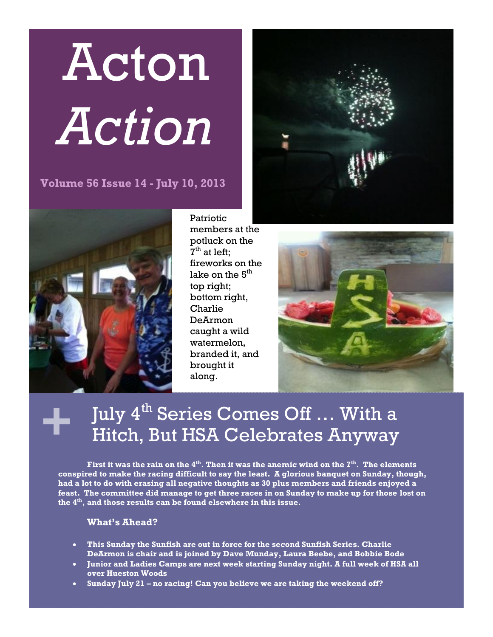# Acton *Action*

**Volume 56 Issue 14 - July 10, 2013**



Patriotic members at the potluck on the  $7<sup>th</sup>$  at left; fireworks on the lake on the  $5<sup>th</sup>$ top right; bottom right, Charlie DeArmon caught a wild watermelon, branded it, and brought it along.





## **+** July 4th Series Comes Off … With a Hitch, But HSA Celebrates Anyway

**First it was the rain on the 4th. Then it was the anemic wind on the 7th. The elements conspired to make the racing difficult to say the least. A glorious banquet on Sunday, though, had a lot to do with erasing all negative thoughts as 30 plus members and friends enjoyed a feast. The committee did manage to get three races in on Sunday to make up for those lost on the 4th, and those results can be found elsewhere in this issue.** 

## **What's Ahead?**

- **This Sunday the Sunfish are out in force for the second Sunfish Series. Charlie DeArmon is chair and is joined by Dave Munday, Laura Beebe, and Bobbie Bode**
- **Junior and Ladies Camps are next week starting Sunday night. A full week of HSA all over Hueston Woods**
- **Sunday July 21 – no racing! Can you believe we are taking the weekend off?**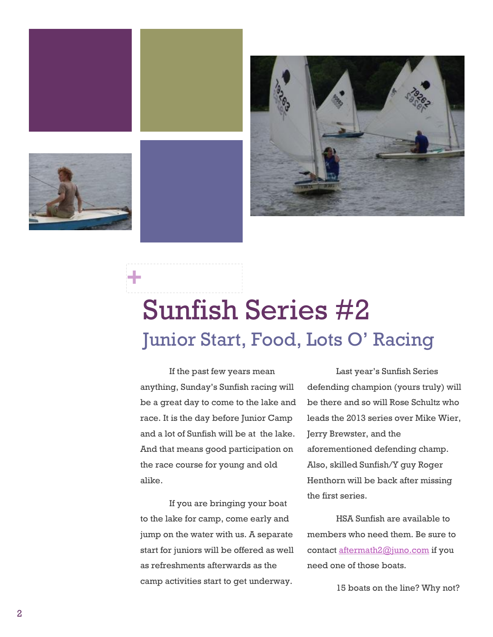

**+**



# Sunfish Series #2 Junior Start, Food, Lots O' Racing

If the past few years mean anything, Sunday's Sunfish racing will be a great day to come to the lake and race. It is the day before Junior Camp and a lot of Sunfish will be at the lake. And that means good participation on the race course for young and old alike.

If you are bringing your boat to the lake for camp, come early and jump on the water with us. A separate start for juniors will be offered as well as refreshments afterwards as the camp activities start to get underway.

Last year's Sunfish Series defending champion (yours truly) will be there and so will Rose Schultz who leads the 2013 series over Mike Wier, Jerry Brewster, and the aforementioned defending champ. Also, skilled Sunfish/Y guy Roger Henthorn will be back after missing the first series.

HSA Sunfish are available to members who need them. Be sure to contact [aftermath2@juno.com](mailto:aftermath2@juno.com) if you need one of those boats.

15 boats on the line? Why not?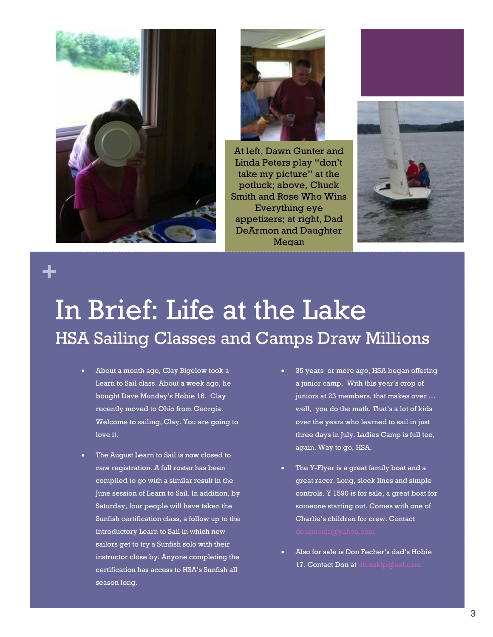



At left, Dawn Gunter and Linda Peters play "don't take my picture" at the potluck; above, Chuck Smith and Rose Who Wins Everything eye appetizers; at right, Dad DeArmon and Daughter Megan



# **+**

# In Brief: Life at the Lake HSA Sailing Classes and Camps Draw Millions

- About a month ago, Clay Bigelow took a Learn to Sail class. About a week ago, he bought Dave Munday's Hobie 16. Clay recently moved to Ohio from Georgia. Welcome to sailing, Clay. You are going to love it.
- The August Learn to Sail is now closed to new registration. A full roster has been compiled to go with a similar result in the June session of Learn to Sail. In addition, by Saturday, four people will have taken the Sunfish certification class, a follow up to the introductory Learn to Sail in which new sailors get to try a Sunfish solo with their instructor close by. Anyone completing the certification has access to HSA's Sunfish all season long.
- 35 years or more ago, HSA began offering a junior camp. With this year's crop of juniors at 23 members, that makes over … well, you do the math. That's a lot of kids over the years who learned to sail in just three days in July. Ladies Camp is full too, again. Way to go, HSA.
- The Y-Flyer is a great family boat and a great racer. Long, sleek lines and simple controls. Y 1590 is for sale, a great boat for someone starting out. Comes with one of Charlie's children for crew. Contact
- Also for sale is Don Fecher's dad's Hobie 17. Contact Don at [dfexskip@aol.com](mailto:dfexskip@aol.com)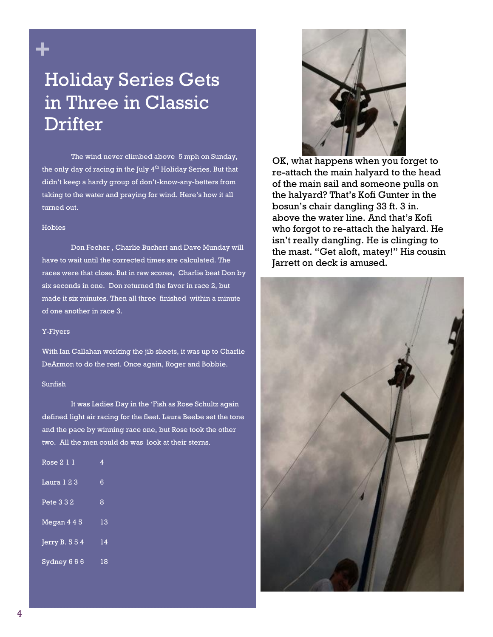

## Holiday Series Gets in Three in Classic **Drifter**

The wind never climbed above 5 mph on Sunday, the only day of racing in the July  $4^{th}$  Holiday Series. But that didn't keep a hardy group of don't-know-any-betters from taking to the water and praying for wind. Here's how it all turned out.

#### Hobies

Don Fecher , Charlie Buchert and Dave Munday will have to wait until the corrected times are calculated. The races were that close. But in raw scores, Charlie beat Don by six seconds in one. Don returned the favor in race 2, but made it six minutes. Then all three finished within a minute of one another in race 3.

#### Y-Flyers

With Ian Callahan working the jib sheets, it was up to Charlie DeArmon to do the rest. Once again, Roger and Bobbie.

### Sunfish

It was Ladies Day in the 'Fish as Rose Schultz again defined light air racing for the fleet. Laura Beebe set the tone and the pace by winning race one, but Rose took the other two. All the men could do was look at their sterns.

| Rose 2 1 1               | 4  |
|--------------------------|----|
| Laura 123                | 6  |
| Pete 3 3 2               | 8  |
| Megan 4 4 5              | 13 |
| $\overline{JerryB. 554}$ | 14 |
| Sydney 666               | 18 |



OK, what happens when you forget to re-attach the main halyard to the head of the main sail and someone pulls on the halyard? That's Kofi Gunter in the bosun's chair dangling 33 ft. 3 in. above the water line. And that's Kofi who forgot to re-attach the halyard. He isn't really dangling. He is clinging to the mast. "Get aloft, matey!" His cousin Jarrett on deck is amused.